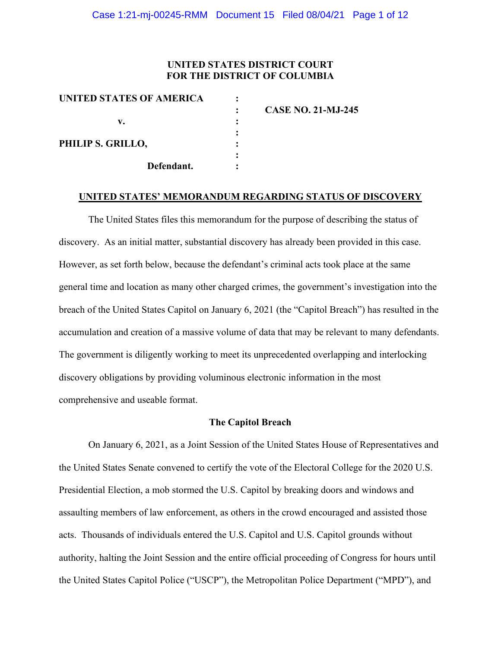## **UNITED STATES DISTRICT COURT FOR THE DISTRICT OF COLUMBIA**

| UNITED STATES OF AMERICA |            |                           |
|--------------------------|------------|---------------------------|
|                          |            | <b>CASE NO. 21-MJ-245</b> |
| v.                       |            |                           |
|                          |            |                           |
| PHILIP S. GRILLO,        |            |                           |
|                          |            |                           |
|                          | Defendant. |                           |
|                          |            |                           |

#### **UNITED STATES' MEMORANDUM REGARDING STATUS OF DISCOVERY**

The United States files this memorandum for the purpose of describing the status of discovery. As an initial matter, substantial discovery has already been provided in this case. However, as set forth below, because the defendant's criminal acts took place at the same general time and location as many other charged crimes, the government's investigation into the breach of the United States Capitol on January 6, 2021 (the "Capitol Breach") has resulted in the accumulation and creation of a massive volume of data that may be relevant to many defendants. The government is diligently working to meet its unprecedented overlapping and interlocking discovery obligations by providing voluminous electronic information in the most comprehensive and useable format.

### **The Capitol Breach**

On January 6, 2021, as a Joint Session of the United States House of Representatives and the United States Senate convened to certify the vote of the Electoral College for the 2020 U.S. Presidential Election, a mob stormed the U.S. Capitol by breaking doors and windows and assaulting members of law enforcement, as others in the crowd encouraged and assisted those acts. Thousands of individuals entered the U.S. Capitol and U.S. Capitol grounds without authority, halting the Joint Session and the entire official proceeding of Congress for hours until the United States Capitol Police ("USCP"), the Metropolitan Police Department ("MPD"), and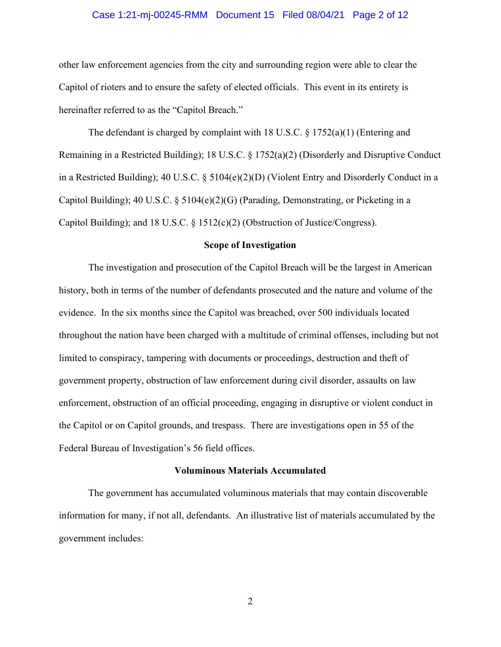### Case 1:21-mj-00245-RMM Document 15 Filed 08/04/21 Page 2 of 12

other law enforcement agencies from the city and surrounding region were able to clear the Capitol of rioters and to ensure the safety of elected officials. This event in its entirety is hereinafter referred to as the "Capitol Breach."

The defendant is charged by complaint with 18 U.S.C. § 1752(a)(1) (Entering and Remaining in a Restricted Building); 18 U.S.C. § 1752(a)(2) (Disorderly and Disruptive Conduct in a Restricted Building); 40 U.S.C. § 5104(e)(2)(D) (Violent Entry and Disorderly Conduct in a Capitol Building); 40 U.S.C. § 5104(e)(2)(G) (Parading, Demonstrating, or Picketing in a Capitol Building); and 18 U.S.C. § 1512(c)(2) (Obstruction of Justice/Congress).

### **Scope of Investigation**

The investigation and prosecution of the Capitol Breach will be the largest in American history, both in terms of the number of defendants prosecuted and the nature and volume of the evidence. In the six months since the Capitol was breached, over 500 individuals located throughout the nation have been charged with a multitude of criminal offenses, including but not limited to conspiracy, tampering with documents or proceedings, destruction and theft of government property, obstruction of law enforcement during civil disorder, assaults on law enforcement, obstruction of an official proceeding, engaging in disruptive or violent conduct in the Capitol or on Capitol grounds, and trespass. There are investigations open in 55 of the Federal Bureau of Investigation's 56 field offices.

#### **Voluminous Materials Accumulated**

The government has accumulated voluminous materials that may contain discoverable information for many, if not all, defendants. An illustrative list of materials accumulated by the government includes: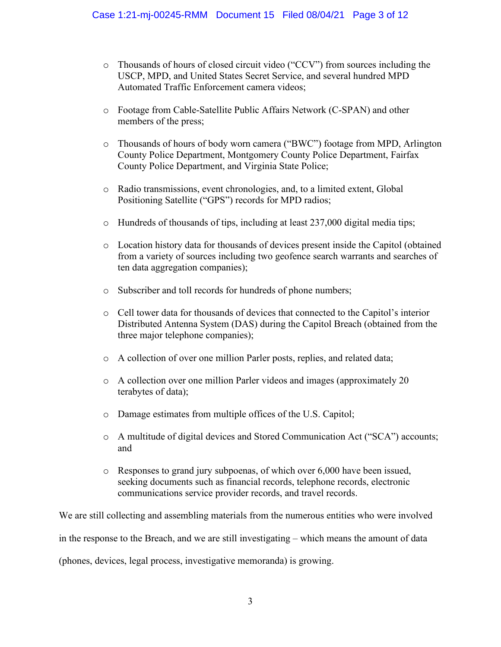- o Thousands of hours of closed circuit video ("CCV") from sources including the USCP, MPD, and United States Secret Service, and several hundred MPD Automated Traffic Enforcement camera videos;
- o Footage from Cable-Satellite Public Affairs Network (C-SPAN) and other members of the press;
- o Thousands of hours of body worn camera ("BWC") footage from MPD, Arlington County Police Department, Montgomery County Police Department, Fairfax County Police Department, and Virginia State Police;
- o Radio transmissions, event chronologies, and, to a limited extent, Global Positioning Satellite ("GPS") records for MPD radios;
- $\circ$  Hundreds of thousands of tips, including at least 237,000 digital media tips;
- o Location history data for thousands of devices present inside the Capitol (obtained from a variety of sources including two geofence search warrants and searches of ten data aggregation companies);
- o Subscriber and toll records for hundreds of phone numbers;
- o Cell tower data for thousands of devices that connected to the Capitol's interior Distributed Antenna System (DAS) during the Capitol Breach (obtained from the three major telephone companies);
- o A collection of over one million Parler posts, replies, and related data;
- o A collection over one million Parler videos and images (approximately 20 terabytes of data);
- o Damage estimates from multiple offices of the U.S. Capitol;
- o A multitude of digital devices and Stored Communication Act ("SCA") accounts; and
- o Responses to grand jury subpoenas, of which over 6,000 have been issued, seeking documents such as financial records, telephone records, electronic communications service provider records, and travel records.

We are still collecting and assembling materials from the numerous entities who were involved in the response to the Breach, and we are still investigating – which means the amount of data (phones, devices, legal process, investigative memoranda) is growing.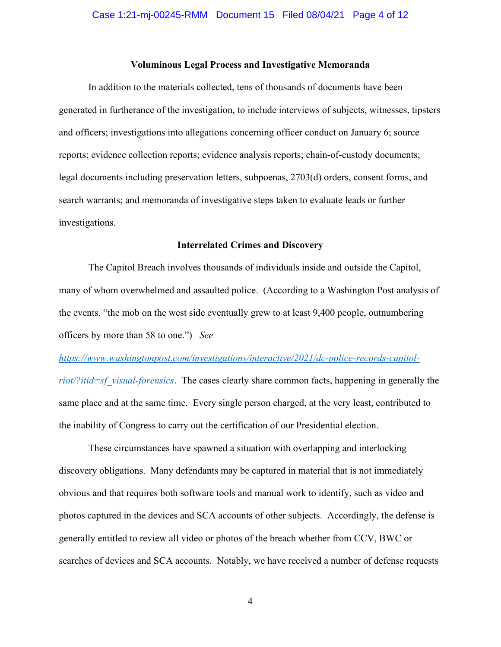### **Voluminous Legal Process and Investigative Memoranda**

In addition to the materials collected, tens of thousands of documents have been generated in furtherance of the investigation, to include interviews of subjects, witnesses, tipsters and officers; investigations into allegations concerning officer conduct on January 6; source reports; evidence collection reports; evidence analysis reports; chain-of-custody documents; legal documents including preservation letters, subpoenas, 2703(d) orders, consent forms, and search warrants; and memoranda of investigative steps taken to evaluate leads or further investigations.

#### **Interrelated Crimes and Discovery**

The Capitol Breach involves thousands of individuals inside and outside the Capitol, many of whom overwhelmed and assaulted police. (According to a Washington Post analysis of the events, "the mob on the west side eventually grew to at least 9,400 people, outnumbering officers by more than 58 to one.") *See* 

## *https://www.washingtonpost.com/investigations/interactive/2021/dc-police-records-capitol-*

*riot/?itid=sf\_visual-forensics*. The cases clearly share common facts, happening in generally the same place and at the same time. Every single person charged, at the very least, contributed to the inability of Congress to carry out the certification of our Presidential election.

These circumstances have spawned a situation with overlapping and interlocking discovery obligations. Many defendants may be captured in material that is not immediately obvious and that requires both software tools and manual work to identify, such as video and photos captured in the devices and SCA accounts of other subjects. Accordingly, the defense is generally entitled to review all video or photos of the breach whether from CCV, BWC or searches of devices and SCA accounts. Notably, we have received a number of defense requests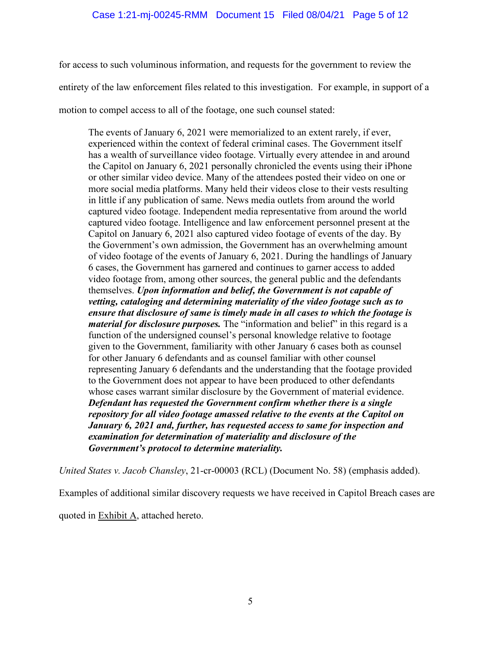for access to such voluminous information, and requests for the government to review the entirety of the law enforcement files related to this investigation. For example, in support of a motion to compel access to all of the footage, one such counsel stated:

The events of January 6, 2021 were memorialized to an extent rarely, if ever, experienced within the context of federal criminal cases. The Government itself has a wealth of surveillance video footage. Virtually every attendee in and around the Capitol on January 6, 2021 personally chronicled the events using their iPhone or other similar video device. Many of the attendees posted their video on one or more social media platforms. Many held their videos close to their vests resulting in little if any publication of same. News media outlets from around the world captured video footage. Independent media representative from around the world captured video footage. Intelligence and law enforcement personnel present at the Capitol on January 6, 2021 also captured video footage of events of the day. By the Government's own admission, the Government has an overwhelming amount of video footage of the events of January 6, 2021. During the handlings of January 6 cases, the Government has garnered and continues to garner access to added video footage from, among other sources, the general public and the defendants themselves. *Upon information and belief, the Government is not capable of vetting, cataloging and determining materiality of the video footage such as to ensure that disclosure of same is timely made in all cases to which the footage is material for disclosure purposes.* The "information and belief" in this regard is a function of the undersigned counsel's personal knowledge relative to footage given to the Government, familiarity with other January 6 cases both as counsel for other January 6 defendants and as counsel familiar with other counsel representing January 6 defendants and the understanding that the footage provided to the Government does not appear to have been produced to other defendants whose cases warrant similar disclosure by the Government of material evidence. *Defendant has requested the Government confirm whether there is a single repository for all video footage amassed relative to the events at the Capitol on January 6, 2021 and, further, has requested access to same for inspection and examination for determination of materiality and disclosure of the Government's protocol to determine materiality.*

*United States v. Jacob Chansley*, 21-cr-00003 (RCL) (Document No. 58) (emphasis added).

Examples of additional similar discovery requests we have received in Capitol Breach cases are

quoted in **Exhibit A**, attached hereto.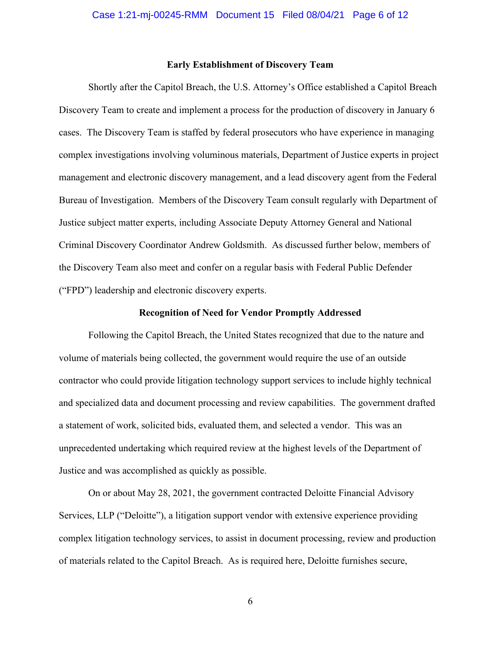#### **Early Establishment of Discovery Team**

Shortly after the Capitol Breach, the U.S. Attorney's Office established a Capitol Breach Discovery Team to create and implement a process for the production of discovery in January 6 cases. The Discovery Team is staffed by federal prosecutors who have experience in managing complex investigations involving voluminous materials, Department of Justice experts in project management and electronic discovery management, and a lead discovery agent from the Federal Bureau of Investigation. Members of the Discovery Team consult regularly with Department of Justice subject matter experts, including Associate Deputy Attorney General and National Criminal Discovery Coordinator Andrew Goldsmith. As discussed further below, members of the Discovery Team also meet and confer on a regular basis with Federal Public Defender ("FPD") leadership and electronic discovery experts.

#### **Recognition of Need for Vendor Promptly Addressed**

Following the Capitol Breach, the United States recognized that due to the nature and volume of materials being collected, the government would require the use of an outside contractor who could provide litigation technology support services to include highly technical and specialized data and document processing and review capabilities. The government drafted a statement of work, solicited bids, evaluated them, and selected a vendor. This was an unprecedented undertaking which required review at the highest levels of the Department of Justice and was accomplished as quickly as possible.

On or about May 28, 2021, the government contracted Deloitte Financial Advisory Services, LLP ("Deloitte"), a litigation support vendor with extensive experience providing complex litigation technology services, to assist in document processing, review and production of materials related to the Capitol Breach. As is required here, Deloitte furnishes secure,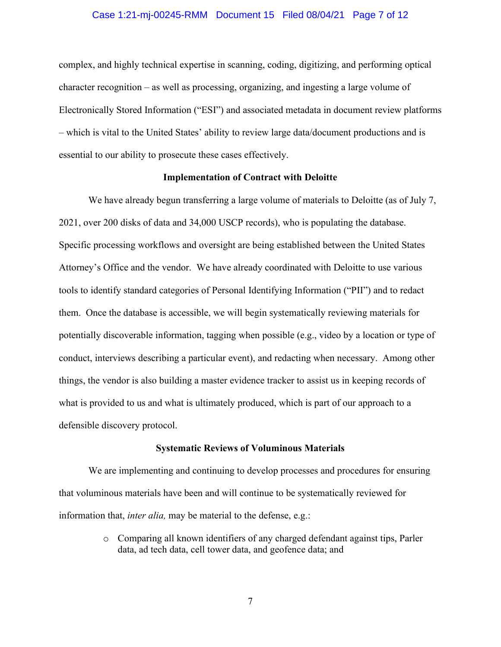#### Case 1:21-mj-00245-RMM Document 15 Filed 08/04/21 Page 7 of 12

complex, and highly technical expertise in scanning, coding, digitizing, and performing optical character recognition – as well as processing, organizing, and ingesting a large volume of Electronically Stored Information ("ESI") and associated metadata in document review platforms – which is vital to the United States' ability to review large data/document productions and is essential to our ability to prosecute these cases effectively.

### **Implementation of Contract with Deloitte**

We have already begun transferring a large volume of materials to Deloitte (as of July 7, 2021, over 200 disks of data and 34,000 USCP records), who is populating the database. Specific processing workflows and oversight are being established between the United States Attorney's Office and the vendor. We have already coordinated with Deloitte to use various tools to identify standard categories of Personal Identifying Information ("PII") and to redact them. Once the database is accessible, we will begin systematically reviewing materials for potentially discoverable information, tagging when possible (e.g., video by a location or type of conduct, interviews describing a particular event), and redacting when necessary. Among other things, the vendor is also building a master evidence tracker to assist us in keeping records of what is provided to us and what is ultimately produced, which is part of our approach to a defensible discovery protocol.

#### **Systematic Reviews of Voluminous Materials**

We are implementing and continuing to develop processes and procedures for ensuring that voluminous materials have been and will continue to be systematically reviewed for information that, *inter alia,* may be material to the defense, e.g.:

> o Comparing all known identifiers of any charged defendant against tips, Parler data, ad tech data, cell tower data, and geofence data; and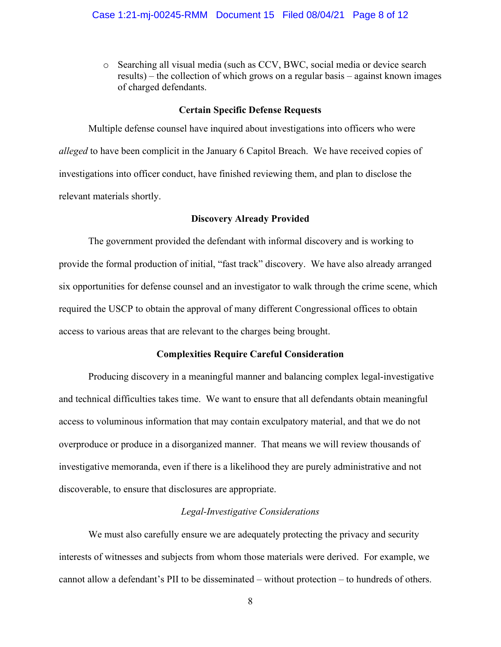o Searching all visual media (such as CCV, BWC, social media or device search results) – the collection of which grows on a regular basis – against known images of charged defendants.

#### **Certain Specific Defense Requests**

Multiple defense counsel have inquired about investigations into officers who were *alleged* to have been complicit in the January 6 Capitol Breach. We have received copies of investigations into officer conduct, have finished reviewing them, and plan to disclose the relevant materials shortly.

### **Discovery Already Provided**

The government provided the defendant with informal discovery and is working to provide the formal production of initial, "fast track" discovery. We have also already arranged six opportunities for defense counsel and an investigator to walk through the crime scene, which required the USCP to obtain the approval of many different Congressional offices to obtain access to various areas that are relevant to the charges being brought.

### **Complexities Require Careful Consideration**

Producing discovery in a meaningful manner and balancing complex legal-investigative and technical difficulties takes time. We want to ensure that all defendants obtain meaningful access to voluminous information that may contain exculpatory material, and that we do not overproduce or produce in a disorganized manner. That means we will review thousands of investigative memoranda, even if there is a likelihood they are purely administrative and not discoverable, to ensure that disclosures are appropriate.

## *Legal-Investigative Considerations*

We must also carefully ensure we are adequately protecting the privacy and security interests of witnesses and subjects from whom those materials were derived. For example, we cannot allow a defendant's PII to be disseminated – without protection – to hundreds of others.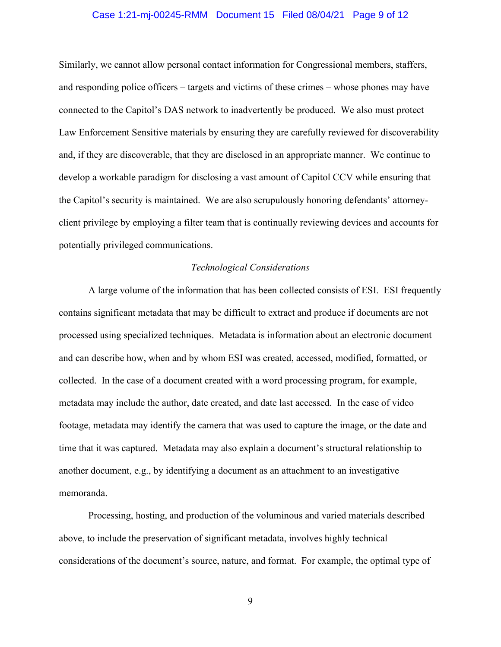### Case 1:21-mj-00245-RMM Document 15 Filed 08/04/21 Page 9 of 12

Similarly, we cannot allow personal contact information for Congressional members, staffers, and responding police officers – targets and victims of these crimes – whose phones may have connected to the Capitol's DAS network to inadvertently be produced. We also must protect Law Enforcement Sensitive materials by ensuring they are carefully reviewed for discoverability and, if they are discoverable, that they are disclosed in an appropriate manner. We continue to develop a workable paradigm for disclosing a vast amount of Capitol CCV while ensuring that the Capitol's security is maintained. We are also scrupulously honoring defendants' attorneyclient privilege by employing a filter team that is continually reviewing devices and accounts for potentially privileged communications.

#### *Technological Considerations*

A large volume of the information that has been collected consists of ESI. ESI frequently contains significant metadata that may be difficult to extract and produce if documents are not processed using specialized techniques. Metadata is information about an electronic document and can describe how, when and by whom ESI was created, accessed, modified, formatted, or collected. In the case of a document created with a word processing program, for example, metadata may include the author, date created, and date last accessed. In the case of video footage, metadata may identify the camera that was used to capture the image, or the date and time that it was captured. Metadata may also explain a document's structural relationship to another document, e.g., by identifying a document as an attachment to an investigative memoranda.

Processing, hosting, and production of the voluminous and varied materials described above, to include the preservation of significant metadata, involves highly technical considerations of the document's source, nature, and format. For example, the optimal type of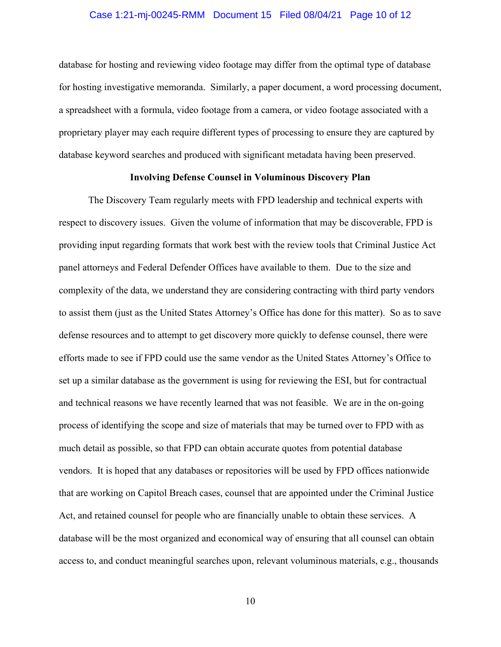#### Case 1:21-mj-00245-RMM Document 15 Filed 08/04/21 Page 10 of 12

database for hosting and reviewing video footage may differ from the optimal type of database for hosting investigative memoranda. Similarly, a paper document, a word processing document, a spreadsheet with a formula, video footage from a camera, or video footage associated with a proprietary player may each require different types of processing to ensure they are captured by database keyword searches and produced with significant metadata having been preserved.

## **Involving Defense Counsel in Voluminous Discovery Plan**

The Discovery Team regularly meets with FPD leadership and technical experts with respect to discovery issues. Given the volume of information that may be discoverable, FPD is providing input regarding formats that work best with the review tools that Criminal Justice Act panel attorneys and Federal Defender Offices have available to them. Due to the size and complexity of the data, we understand they are considering contracting with third party vendors to assist them (just as the United States Attorney's Office has done for this matter). So as to save defense resources and to attempt to get discovery more quickly to defense counsel, there were efforts made to see if FPD could use the same vendor as the United States Attorney's Office to set up a similar database as the government is using for reviewing the ESI, but for contractual and technical reasons we have recently learned that was not feasible. We are in the on-going process of identifying the scope and size of materials that may be turned over to FPD with as much detail as possible, so that FPD can obtain accurate quotes from potential database vendors. It is hoped that any databases or repositories will be used by FPD offices nationwide that are working on Capitol Breach cases, counsel that are appointed under the Criminal Justice Act, and retained counsel for people who are financially unable to obtain these services. A database will be the most organized and economical way of ensuring that all counsel can obtain access to, and conduct meaningful searches upon, relevant voluminous materials, e.g., thousands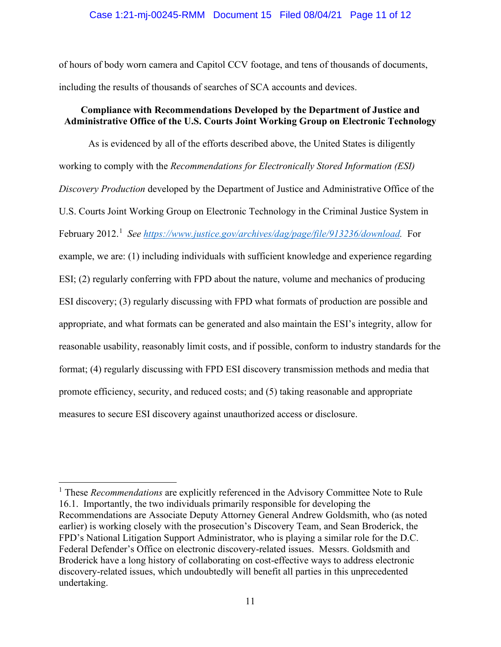### Case 1:21-mj-00245-RMM Document 15 Filed 08/04/21 Page 11 of 12

of hours of body worn camera and Capitol CCV footage, and tens of thousands of documents, including the results of thousands of searches of SCA accounts and devices.

## **Compliance with Recommendations Developed by the Department of Justice and Administrative Office of the U.S. Courts Joint Working Group on Electronic Technology**

As is evidenced by all of the efforts described above, the United States is diligently working to comply with the *Recommendations for Electronically Stored Information (ESI) Discovery Production* developed by the Department of Justice and Administrative Office of the U.S. Courts Joint Working Group on Electronic Technology in the Criminal Justice System in February 2012. 1 *See https://www.justice.gov/archives/dag/page/file/913236/download.* For example, we are: (1) including individuals with sufficient knowledge and experience regarding ESI; (2) regularly conferring with FPD about the nature, volume and mechanics of producing ESI discovery; (3) regularly discussing with FPD what formats of production are possible and appropriate, and what formats can be generated and also maintain the ESI's integrity, allow for reasonable usability, reasonably limit costs, and if possible, conform to industry standards for the format; (4) regularly discussing with FPD ESI discovery transmission methods and media that promote efficiency, security, and reduced costs; and (5) taking reasonable and appropriate measures to secure ESI discovery against unauthorized access or disclosure.

<sup>1</sup> These *Recommendations* are explicitly referenced in the Advisory Committee Note to Rule 16.1. Importantly, the two individuals primarily responsible for developing the Recommendations are Associate Deputy Attorney General Andrew Goldsmith, who (as noted earlier) is working closely with the prosecution's Discovery Team, and Sean Broderick, the FPD's National Litigation Support Administrator, who is playing a similar role for the D.C. Federal Defender's Office on electronic discovery-related issues. Messrs. Goldsmith and Broderick have a long history of collaborating on cost-effective ways to address electronic discovery-related issues, which undoubtedly will benefit all parties in this unprecedented undertaking.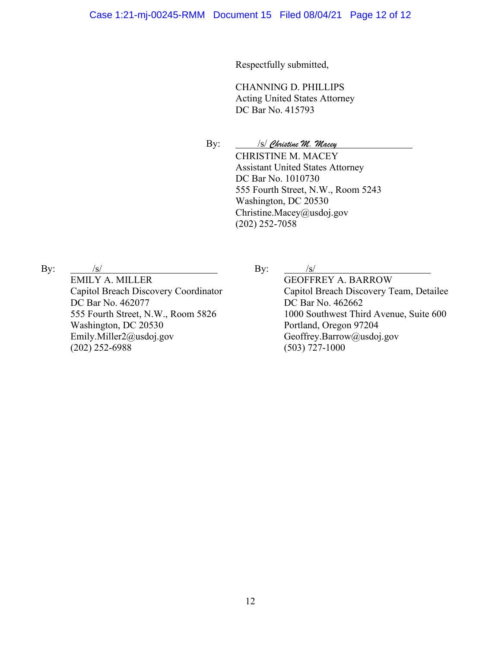Respectfully submitted,

CHANNING D. PHILLIPS Acting United States Attorney DC Bar No. 415793

By: /s/ *Christine M. Macey*

CHRISTINE M. MACEY Assistant United States Attorney DC Bar No. 1010730 555 Fourth Street, N.W., Room 5243 Washington, DC 20530 Christine.Macey@usdoj.gov (202) 252-7058

By:  $/s/$ EMILY A. MILLER Capitol Breach Discovery Coordinator DC Bar No. 462077 555 Fourth Street, N.W., Room 5826 Washington, DC 20530 Emily.Miller2@usdoj.gov (202) 252-6988

By:  $/s/$ 

GEOFFREY A. BARROW Capitol Breach Discovery Team, Detailee DC Bar No. 462662 1000 Southwest Third Avenue, Suite 600 Portland, Oregon 97204 Geoffrey.Barrow@usdoj.gov (503) 727-1000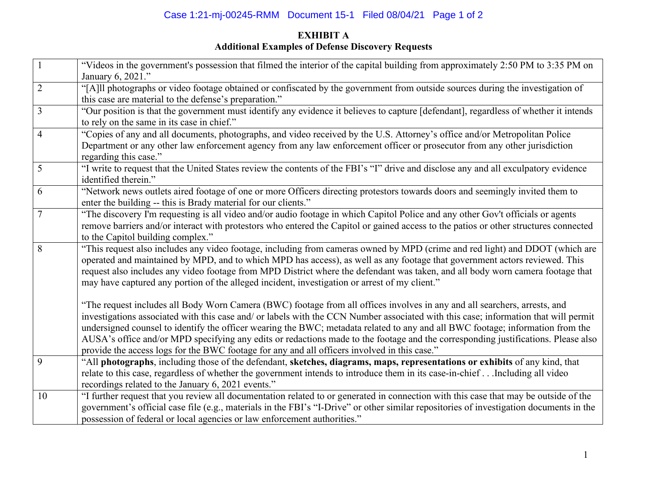# Case 1:21-mj-00245-RMM Document 15-1 Filed 08/04/21 Page 1 of 2

# **EXHIBIT A Additional Examples of Defense Discovery Requests**

|                | "Videos in the government's possession that filmed the interior of the capital building from approximately 2:50 PM to 3:35 PM on<br>January 6, 2021."                                                                                                                                                                                                                                                                                                                                                                                                                                                                                   |
|----------------|-----------------------------------------------------------------------------------------------------------------------------------------------------------------------------------------------------------------------------------------------------------------------------------------------------------------------------------------------------------------------------------------------------------------------------------------------------------------------------------------------------------------------------------------------------------------------------------------------------------------------------------------|
| $\overline{2}$ | "[A]ll photographs or video footage obtained or confiscated by the government from outside sources during the investigation of<br>this case are material to the defense's preparation."                                                                                                                                                                                                                                                                                                                                                                                                                                                 |
| $\overline{3}$ | "Our position is that the government must identify any evidence it believes to capture [defendant], regardless of whether it intends<br>to rely on the same in its case in chief."                                                                                                                                                                                                                                                                                                                                                                                                                                                      |
| $\overline{4}$ | "Copies of any and all documents, photographs, and video received by the U.S. Attorney's office and/or Metropolitan Police<br>Department or any other law enforcement agency from any law enforcement officer or prosecutor from any other jurisdiction<br>regarding this case."                                                                                                                                                                                                                                                                                                                                                        |
| 5              | "I write to request that the United States review the contents of the FBI's "I" drive and disclose any and all exculpatory evidence<br>identified therein."                                                                                                                                                                                                                                                                                                                                                                                                                                                                             |
| 6              | "Network news outlets aired footage of one or more Officers directing protestors towards doors and seemingly invited them to<br>enter the building -- this is Brady material for our clients."                                                                                                                                                                                                                                                                                                                                                                                                                                          |
| 7              | "The discovery I'm requesting is all video and/or audio footage in which Capitol Police and any other Gov't officials or agents<br>remove barriers and/or interact with protestors who entered the Capitol or gained access to the patios or other structures connected<br>to the Capitol building complex."                                                                                                                                                                                                                                                                                                                            |
| 8              | "This request also includes any video footage, including from cameras owned by MPD (crime and red light) and DDOT (which are<br>operated and maintained by MPD, and to which MPD has access), as well as any footage that government actors reviewed. This<br>request also includes any video footage from MPD District where the defendant was taken, and all body worn camera footage that<br>may have captured any portion of the alleged incident, investigation or arrest of my client."                                                                                                                                           |
|                | "The request includes all Body Worn Camera (BWC) footage from all offices involves in any and all searchers, arrests, and<br>investigations associated with this case and/ or labels with the CCN Number associated with this case; information that will permit<br>undersigned counsel to identify the officer wearing the BWC; metadata related to any and all BWC footage; information from the<br>AUSA's office and/or MPD specifying any edits or redactions made to the footage and the corresponding justifications. Please also<br>provide the access logs for the BWC footage for any and all officers involved in this case." |
| 9              | "All photographs, including those of the defendant, sketches, diagrams, maps, representations or exhibits of any kind, that<br>relate to this case, regardless of whether the government intends to introduce them in its case-in-chiefIncluding all video<br>recordings related to the January 6, 2021 events."                                                                                                                                                                                                                                                                                                                        |
| 10             | "I further request that you review all documentation related to or generated in connection with this case that may be outside of the<br>government's official case file (e.g., materials in the FBI's "I-Drive" or other similar repositories of investigation documents in the<br>possession of federal or local agencies or law enforcement authorities."                                                                                                                                                                                                                                                                             |